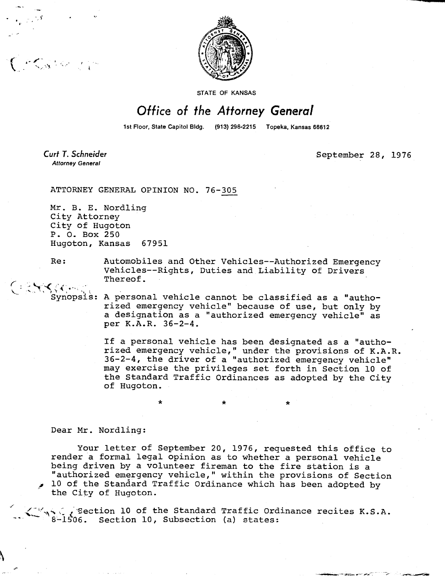

STATE OF KANSAS

## Office of the Attorney General

1st Floor, State Capitol Bldg. (913) 296-2215 Topeka, Kansas 66612

Curt T. Schneider **Attorney General** 

Cession de

September 28, 1976

ATTORNEY GENERAL OPINION NO. 76-305

Mr. B. E. Nordling City Attorney City of Hugoton P. 0. Box 250 Hugoton, Kansas 67951

Re: Automobiles and Other Vehicles--Authorized Emergency Vehicles--Rights, Duties and Liability of Drivers Thereof.

Synopsis: A personal vehicle cannot be classified as a "authorized emergency vehicle" because of use, but only by a designation as a "authorized emergency vehicle" as per K.A.R. 36-2-4.

> If a personal vehicle has been designated as a "authorized emergency vehicle," under the provisions of K.A.R. 36-2-4, the driver of a "authorized emergency vehicle" may exercise the privileges set forth in Section 10 of the Standard Traffic Ordinances as adopted by the City of Hugoton.

Dear Mr. Nordling:

Your letter of September 20, 1976, requested this office to render a formal legal opinion as to whether a personal vehicle being driven by a volunteer fireman to the fire station is a "authorized emergency vehicle," within the provisions of Section 10 of the Standard Traffic Ordinance which has been adopted by the City of Hugoton.

Section 10 of the Standard Traffic Ordinance recites K.S.A. 8-1506. Section 10, Subsection (a) states: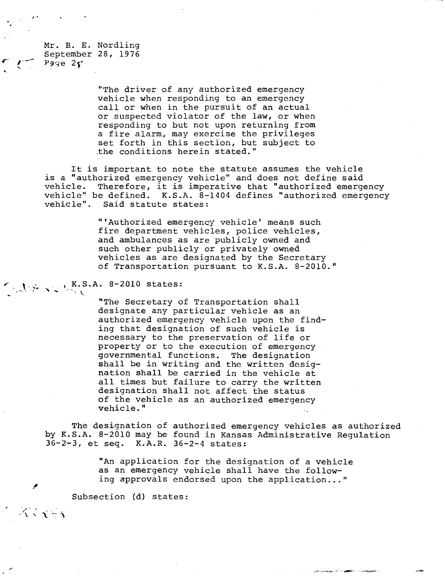Mr. B. E. Nordling September 28, 1976  $Pqq$ e  $2<sub>5</sub>$ 

> "The driver of any authorized emergency vehicle when responding to an emergency call or when in the pursuit of an actual or suspected violator of the law, or when responding to but not upon returning from a fire alarm, may exercise the privileges set forth in this section, but subject to the conditions herein stated."

It is important to note the statute assumes the vehicle is a "authorized emergency vehicle" and does not define said vehicle. Therefore, it is imperative that "authorized emergency vehicle" be defined. K.S.A. 8-1404 defines "authorized emergency<br>vehicle". Said statute states: Said statute states:

> "'Authorized emergency vehicle' means such fire department vehicles, police vehicles, and ambulances as are publicly owned and such other publicly or privately owned vehicles as are designated by the Secretary of Transportation pursuant to K.S.A. 8-2010."

## $K.S.A. 8-2010$  states:

"The Secretary of Transportation shall designate any particular vehicle as an authorized emergency vehicle upon the finding that designation of such vehicle is necessary to the preservation of life or property or to the execution of emergency governmental functions. The designation shall be in writing and the written designation shall be carried in the vehicle at all times but failure to carry the written designation shall not affect the status of the vehicle as an authorized emergency vehicle."

The designation of authorized emergency vehicles as authorized by K.S.A. 8-2010 may be found in Kansas Administrative Regulation 36-2-3, et seq. K.A.R. 36-2-4 states:

> "An application for the designation of a vehicle as an emergency vehicle shall have the following approvals endorsed upon the application..."

Subsection (d) states:

 $\mathcal{L} \times \mathcal{L} = 3$